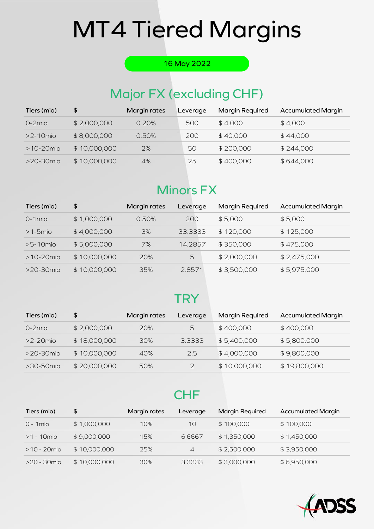#### 16 May 2022

## Major FX (excluding CHF)

| Tiers (mio)     | \$           | Margin rates | Leverage | <b>Margin Required</b> | <b>Accumulated Margin</b> |
|-----------------|--------------|--------------|----------|------------------------|---------------------------|
| $O-2$ mio       | \$2,000,000  | 0.20%        | 500      | \$4,000                | \$4,000                   |
| $>2$ -10 $m$ io | \$8,000,000  | 0.50%        | 200      | \$40,000               | \$44,000                  |
| $>10-20$ mio    | \$10,000,000 | 2%           | 50       | \$200,000              | \$244,000                 |
| $>20-30$ mio    | \$10,000,000 | 4%           | 25       | \$400,000              | \$644,000                 |

## **Minors FX**

| Tiers (mio)  | \$           | Margin rates | Leverage | <b>Margin Required</b> | <b>Accumulated Margin</b> |
|--------------|--------------|--------------|----------|------------------------|---------------------------|
| 0-1mio       | \$1,000,000  | 0.50%        | 200      | \$5,000                | \$5,000                   |
| $>1-5$ mio   | \$4,000,000  | 3%           | 33.3333  | \$120,000              | \$125,000                 |
| $>5-10$ mio  | \$5,000,000  | 7%           | 14.2857  | \$350,000              | \$475,000                 |
| $>10-20$ mio | \$10,000,000 | 20%          | 5        | \$2,000,000            | \$2,475,000               |
| $>20-30$ mio | \$10,000,000 | 35%          | 2.8571   | \$3,500,000            | \$5,975,000               |

## **TRY**

| Tiers (mio)          | \$           | Margin rates | Leverage | <b>Margin Required</b> | <b>Accumulated Margin</b> |
|----------------------|--------------|--------------|----------|------------------------|---------------------------|
| $O-2$ mio            | \$2,000,000  | 20%          | 5        | \$400,000              | \$400,000                 |
| $>2-20$ mio          | \$18,000,000 | 30%          | 3.3333   | \$5,400,000            | \$5,800,000               |
| $>$ 20-30 $\rm{mio}$ | \$10,000,000 | 40%          | 2.5      | \$4,000,000            | \$9,800,000               |
| $>30-50$ mio         | \$20,000,000 | 50%          |          | \$10,000,000           | \$19,800,000              |

### **CHF**

| Tiers (mio)    | \$           | Margin rates | Leverage       | <b>Margin Required</b> | <b>Accumulated Margin</b> |
|----------------|--------------|--------------|----------------|------------------------|---------------------------|
| $O - 1$ mio    | \$1,000,000  | 10%          | 10             | \$100,000              | \$100,000                 |
| $>1 - 10$ mio  | \$9,000,000  | 15%          | 6.6667         | \$1,350,000            | \$1,450,000               |
| $>10 - 20$ mio | \$10,000,000 | 25%          | $\overline{4}$ | \$2,500,000            | \$3,950,000               |
| >20 - 30mio    | \$10,000,000 | 30%          | 3.3333         | \$3,000,000            | \$6,950,000               |

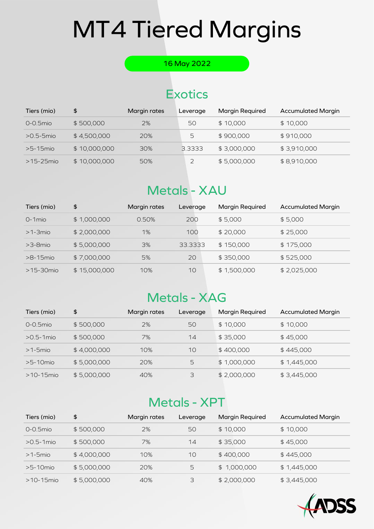#### 16 May 2022

## **Exotics**

| Tiers (mio)    | \$           | Margin rates | Leverage | <b>Margin Required</b> | <b>Accumulated Margin</b> |
|----------------|--------------|--------------|----------|------------------------|---------------------------|
| 0-0.5mio       | \$500,000    | 2%           | 50       | \$10,000               | \$10,000                  |
| $>0.5 - 5$ mio | \$4,500,000  | 20%          | 5        | \$900,000              | \$910,000                 |
| $>5-15$ mio    | \$10,000,000 | 30%          | 3.3333   | \$3,000,000            | \$3,910,000               |
| $>15-25$ mio   | \$10,000,000 | 50%          |          | \$5,000,000            | \$8,910,000               |

## Metals - XAU

| Tiers (mio)  | \$           | Margin rates | Leverage | <b>Margin Required</b> | <b>Accumulated Margin</b> |
|--------------|--------------|--------------|----------|------------------------|---------------------------|
| $O-1$ mio    | \$1,000,000  | 0.50%        | 200      | \$5,000                | \$5,000                   |
| $>1-3$ mio   | \$2,000,000  | 1%           | 100      | \$20,000               | \$25,000                  |
| $>3-8$ mio   | \$5,000,000  | 3%           | 33.3333  | \$150,000              | \$175,000                 |
| $>8-15$ mio  | \$7,000,000  | 5%           | 20       | \$350,000              | \$525,000                 |
| $>15-30$ mio | \$15,000,000 | 10%          | 10       | \$1,500,000            | \$2,025,000               |

## **Metals - XAG**

| Tiers (mio)   | \$          | Margin rates | Leverage | <b>Margin Required</b> | <b>Accumulated Margin</b> |
|---------------|-------------|--------------|----------|------------------------|---------------------------|
| $0 - 0.5$ mio | \$500,000   | 2%           | 50       | \$10,000               | \$10,000                  |
| $>0.5-1$ mio  | \$500,000   | 7%           | 14       | \$35,000               | \$45,000                  |
| $>1-5$ mio    | \$4,000,000 | 10%          | 10       | \$400,000              | \$445,000                 |
| $>5-10$ mio   | \$5,000,000 | 20%          | 5        | \$1,000,000            | \$1,445,000               |
| $>10-15$ mio  | \$5,000,000 | 40%          | 3        | \$2,000,000            | \$3,445,000               |

## Metals - XPT

| Tiers (mio)   | \$          | Margin rates | Leverage | <b>Margin Required</b> | <b>Accumulated Margin</b> |
|---------------|-------------|--------------|----------|------------------------|---------------------------|
| $0 - 0.5$ mio | \$500,000   | 2%           | 50       | \$10,000               | \$10,000                  |
| $>0.5-1$ mio  | \$500,000   | 7%           | 14       | \$35,000               | \$45,000                  |
| $>1-5$ mio    | \$4,000,000 | 10%          | 10       | \$400,000              | \$445,000                 |
| $>5-10$ mio   | \$5,000,000 | 20%          | 5        | \$1,000,000            | \$1,445,000               |
| $>10-15$ mio  | \$5,000,000 | 40%          | 3        | \$2,000,000            | \$3,445,000               |

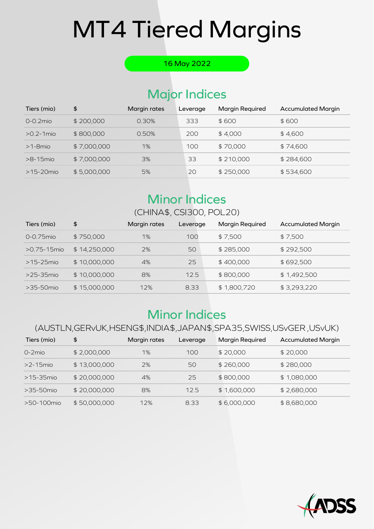#### 16 May 2022

## Major Indices

| Tiers (mio)    | \$          | Margin rates | Leverage | <b>Margin Required</b> | <b>Accumulated Margin</b> |
|----------------|-------------|--------------|----------|------------------------|---------------------------|
| $0 - 0.2$ mio  | \$200,000   | 0.30%        | 333      | \$600                  | \$600                     |
| $>0.2 - 1$ mio | \$800,000   | 0.50%        | 200      | \$4.000                | \$4,600                   |
| $>1$ -8mio     | \$7,000,000 | 1%           | 100      | \$70,000               | \$74,600                  |
| $>8-15$ mio    | \$7,000,000 | 3%           | 33       | \$210,000              | \$284,600                 |
| $>15-20$ mio   | \$5,000,000 | 5%           | 20       | \$250,000              | \$534,600                 |

### Minor Indices

### (CHINA\$, CSI300, POL20)

| Tiers (mio)      | \$           | Margin rates | Leverage | Margin Required | <b>Accumulated Margin</b> |
|------------------|--------------|--------------|----------|-----------------|---------------------------|
| $0 - 0.75$ mio   | \$750,000    | 1%           | 100      | \$7,500         | \$7,500                   |
| $>0.75 - 15$ mio | \$14,250,000 | 2%           | 50       | \$285,000       | \$292,500                 |
| $>15-25$ mio     | \$10,000,000 | 4%           | 25       | \$400,000       | \$692,500                 |
| $>25-35$ mio     | \$10,000,000 | 8%           | 125      | \$800,000       | \$1,492,500               |
| $>35-50$ mio     | \$15,000,000 | 12%          | 8.33     | \$1,800,720     | \$3,293,220               |

## Minor Indices

#### (AUSTLN,GERvUK,HSENG\$,INDIA\$,JAPAN\$,SPA35,SWISS,USvGER ,USvUK)

| Tiers (mio)  | \$           | Margin rates | Leverage | <b>Margin Required</b> | <b>Accumulated Margin</b> |
|--------------|--------------|--------------|----------|------------------------|---------------------------|
| $O-2$ mio    | \$2,000,000  | 1%           | 100      | \$20,000               | \$20,000                  |
| $>2-15$ mio  | \$13,000,000 | 2%           | 50       | \$260,000              | \$280,000                 |
| $>15-35$ mio | \$20,000,000 | 4%           | 25       | \$800,000              | \$1,080,000               |
| $>35-50$ mio | \$20,000,000 | 8%           | 12.5     | \$1,600,000            | \$2,680,000               |
| >50-100mio   | \$50,000,000 | 12%          | 8.33     | \$6,000,000            | \$8,680,000               |

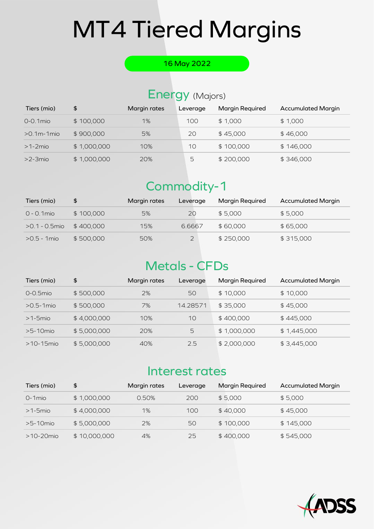#### 16 May 2022

### Energy (Majors)

| Tiers (mio)       | \$          | Margin rates | Leverage | Margin Required | <b>Accumulated Margin</b> |
|-------------------|-------------|--------------|----------|-----------------|---------------------------|
| $0 - 0.1$ mio     | \$100,000   | 1%           | 100      | \$1,000         | \$1,000                   |
| $>0.1$ m-1 $m$ io | \$900,000   | 5%           | 20       | \$45,000        | \$46,000                  |
| $>1-2$ mio        | \$1,000,000 | 10%          | 10       | \$100,000       | \$146,000                 |
| $>2$ -3mio        | \$1,000,000 | 20%          | 5        | \$200,000       | \$346,000                 |

## Commodity-1

| Tiers (mio)      | \$        | Margin rates | Leverage       | <b>Margin Required</b> | <b>Accumulated Margin</b> |
|------------------|-----------|--------------|----------------|------------------------|---------------------------|
| $0 - 0.1$ mio    | \$100,000 | 5%           | 20             | \$5.000                | \$5,000                   |
| $>0.1 - 0.5$ mio | \$400.000 | 15%          | 6.6667         | \$60,000               | \$65,000                  |
| $>0.5 - 1$ mio   | \$500,000 | 50%          | $\overline{2}$ | \$250,000              | \$315,000                 |

## **Metals - CFDs**

| Tiers (mio)   | \$          | Margin rates | Leverage | <b>Margin Required</b> | <b>Accumulated Margin</b> |
|---------------|-------------|--------------|----------|------------------------|---------------------------|
| $0 - 0.5$ mio | \$500,000   | 2%           | 50       | \$10,000               | \$10,000                  |
| $>0.5-1$ mio  | \$500,000   | 7%           | 14.28571 | \$35,000               | \$45,000                  |
| $>1-5$ mio    | \$4,000,000 | 10%          | 10       | \$400,000              | \$445,000                 |
| $>5-10$ mio   | \$5,000,000 | 20%          | 5        | \$1,000,000            | \$1,445,000               |
| $>10-15$ mio  | \$5,000,000 | 40%          | 2.5      | \$2,000,000            | \$3,445,000               |

### Interest rates

| Tiers (mio)  | \$           | Margin rates | Leverage | <b>Margin Required</b> | <b>Accumulated Margin</b> |
|--------------|--------------|--------------|----------|------------------------|---------------------------|
| $O-1$ mio    | \$1,000,000  | 0.50%        | 200      | \$5.000                | \$5,000                   |
| $>1-5$ mio   | \$4,000,000  | 1%           | 100      | \$40,000               | \$45,000                  |
| $>5-10$ mio  | \$5,000,000  | 2%           | 50       | \$100,000              | \$145,000                 |
| $>10-20$ mio | \$10,000,000 | 4%           | 25       | \$400,000              | \$545,000                 |

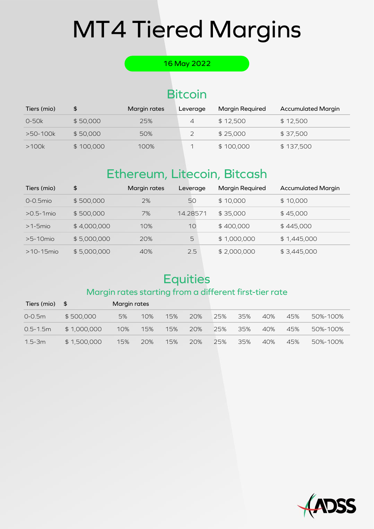#### 16 May 2022

## **Bitcoin**

| Tiers (mio) | \$        | Margin rates | Leverage | <b>Margin Required</b> | <b>Accumulated Margin</b> |
|-------------|-----------|--------------|----------|------------------------|---------------------------|
| $O-50k$     | \$50,000  | 25%          | 4        | \$12.500               | \$12,500                  |
| >50-100k    | \$50,000  | 50%          |          | \$25,000               | \$37,500                  |
| >100k       | \$100,000 | 100%         |          | \$100,000              | \$137,500                 |

## Ethereum, Litecoin, Bitcash

| Tiers (mio)   | \$          | Margin rates | Leverage | <b>Margin Required</b> | <b>Accumulated Margin</b> |
|---------------|-------------|--------------|----------|------------------------|---------------------------|
| $0 - 0.5$ mio | \$500,000   | 2%           | 50       | \$10,000               | \$10,000                  |
| $>0.5-1$ mio  | \$500,000   | 7%           | 14.28571 | \$35,000               | \$45,000                  |
| $>1-5$ mio    | \$4,000,000 | 10%          | 10       | \$400,000              | \$445,000                 |
| $>5-10$ mio   | \$5,000,000 | 20%          | 5        | \$1,000,000            | \$1,445,000               |
| $>10-15$ mio  | \$5,000,000 | 40%          | 2.5      | \$2,000,000            | \$3,445,000               |

## **Equities**

#### Margin rates starting from a different first-tier rate

| Tiers (mio) $$$ |             | Margin rates |     |     |     |     |     |     |     |          |
|-----------------|-------------|--------------|-----|-----|-----|-----|-----|-----|-----|----------|
| $0 - 0.5m$      | \$500,000   | 5%           | 10% | 15% | 20% | 25% | 35% | 40% | 45% | 50%-100% |
| $0.5 - 1.5m$    | \$1,000,000 | 10%          | 15% | 15% | 20% | 25% | 35% | 40% | 45% | 50%-100% |
| $1.5 - 3m$      | \$1,500,000 | 15%          | 20% | 15% | 20% | 25% | 35% | 40% | 45% | 50%-100% |

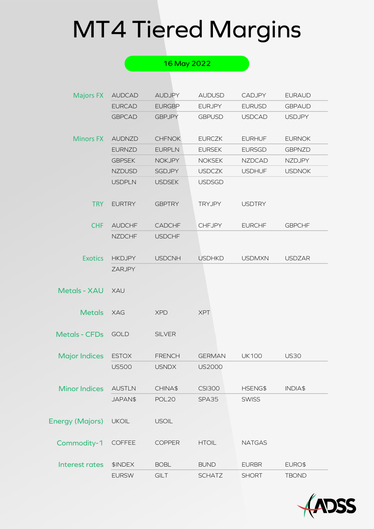|                        |               | 16 May 2022       |               |               |               |
|------------------------|---------------|-------------------|---------------|---------------|---------------|
|                        |               |                   |               |               |               |
| <b>Majors FX</b>       | <b>AUDCAD</b> | <b>AUDJPY</b>     | <b>AUDUSD</b> | <b>CADJPY</b> | <b>EURAUD</b> |
|                        | <b>EURCAD</b> | <b>EURGBP</b>     | <b>EURJPY</b> | <b>EURUSD</b> | <b>GBPAUD</b> |
|                        | <b>GBPCAD</b> | <b>GBPJPY</b>     | <b>GBPUSD</b> | <b>USDCAD</b> | <b>USDJPY</b> |
| <b>Minors FX</b>       | <b>AUDNZD</b> | <b>CHFNOK</b>     | <b>EURCZK</b> | <b>EURHUF</b> | <b>EURNOK</b> |
|                        | <b>EURNZD</b> | <b>EURPLN</b>     | <b>EURSEK</b> | <b>EURSGD</b> | <b>GBPNZD</b> |
|                        | <b>GBPSEK</b> | <b>NOKJPY</b>     | <b>NOKSEK</b> | <b>NZDCAD</b> | <b>NZDJPY</b> |
|                        | <b>NZDUSD</b> | <b>SGDJPY</b>     | <b>USDCZK</b> | <b>USDHUF</b> | <b>USDNOK</b> |
|                        | <b>USDPLN</b> | <b>USDSEK</b>     | <b>USDSGD</b> |               |               |
| <b>TRY</b>             | <b>EURTRY</b> | <b>GBPTRY</b>     | <b>TRYJPY</b> | <b>USDTRY</b> |               |
| <b>CHF</b>             | <b>AUDCHF</b> | <b>CADCHF</b>     | <b>CHFJPY</b> | <b>EURCHF</b> | <b>GBPCHF</b> |
|                        | <b>NZDCHF</b> | <b>USDCHF</b>     |               |               |               |
| <b>Exotics</b>         | <b>HKDJPY</b> | <b>USDCNH</b>     | <b>USDHKD</b> | <b>USDMXN</b> | <b>USDZAR</b> |
|                        | <b>ZARJPY</b> |                   |               |               |               |
| <b>Metals - XAU</b>    | <b>XAU</b>    |                   |               |               |               |
| <b>Metals</b>          | <b>XAG</b>    | <b>XPD</b>        | <b>XPT</b>    |               |               |
| <b>Metals - CFDs</b>   | <b>GOLD</b>   | <b>SILVER</b>     |               |               |               |
| <b>Major Indices</b>   | <b>ESTOX</b>  | <b>FRENCH</b>     | <b>GERMAN</b> | <b>UK100</b>  | <b>US30</b>   |
|                        | <b>US500</b>  | <b>USNDX</b>      | <b>US2000</b> |               |               |
| <b>Minor Indices</b>   | <b>AUSTLN</b> | CHINA\$           | <b>CSI300</b> | HSENG\$       | INDIA\$       |
|                        | JAPAN\$       | POL <sub>20</sub> | SPA35         | <b>SWISS</b>  |               |
| <b>Energy (Majors)</b> | <b>UKOIL</b>  | <b>USOIL</b>      |               |               |               |
| Commodity-1            | COFFEE        | <b>COPPER</b>     | <b>HTOIL</b>  | <b>NATGAS</b> |               |
| Interest rates         | \$INDEX       | <b>BOBL</b>       | <b>BUND</b>   | <b>EURBR</b>  | EURO\$        |
|                        | <b>EURSW</b>  | GILT              | <b>SCHATZ</b> | <b>SHORT</b>  | <b>TBOND</b>  |

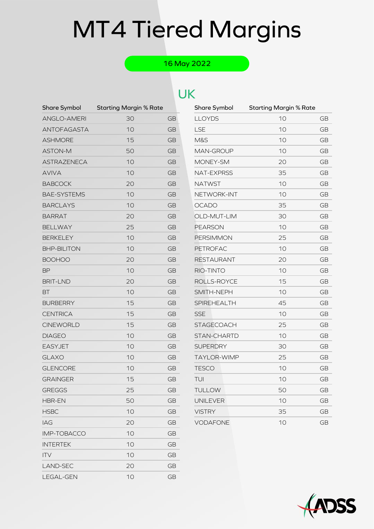### 16 May 2022

### UK

| Share Symbol       | <b>Starting Margin % Rate</b> |           | Share Symbol      | <b>Starting Margin % Rate</b> |           |
|--------------------|-------------------------------|-----------|-------------------|-------------------------------|-----------|
| <b>ANGLO-AMERI</b> | 30                            | <b>GB</b> | <b>LLOYDS</b>     | 10                            | <b>GE</b> |
| <b>ANTOFAGASTA</b> | 10                            | <b>GB</b> | <b>LSE</b>        | 10                            | <b>GE</b> |
| <b>ASHMORE</b>     | 15                            | <b>GB</b> | <b>M&amp;S</b>    | 10                            | <b>GE</b> |
| <b>ASTON-M</b>     | 50                            | <b>GB</b> | MAN-GROUP         | 10                            | <b>GE</b> |
| ASTRAZENECA        | 10                            | <b>GB</b> | MONEY-SM          | 20                            | <b>GE</b> |
| <b>AVIVA</b>       | 10                            | <b>GB</b> | NAT-EXPRSS        | 35                            | <b>GE</b> |
| <b>BABCOCK</b>     | 20                            | <b>GB</b> | <b>NATWST</b>     | 10                            | <b>GE</b> |
| <b>BAE-SYSTEMS</b> | 10                            | <b>GB</b> | NETWORK-INT       | 10                            | <b>GE</b> |
| <b>BARCLAYS</b>    | 10                            | <b>GB</b> | <b>OCADO</b>      | 35                            | <b>GE</b> |
| <b>BARRAT</b>      | 20                            | <b>GB</b> | OLD-MUT-LIM       | 30                            | <b>GE</b> |
| <b>BELLWAY</b>     | 25                            | <b>GB</b> | <b>PEARSON</b>    | 10                            | <b>GE</b> |
| <b>BERKELEY</b>    | 10                            | <b>GB</b> | <b>PERSIMMON</b>  | 25                            | <b>GE</b> |
| <b>BHP-BILITON</b> | 10                            | <b>GB</b> | <b>PETROFAC</b>   | 10                            | GE        |
| <b>BOOHOO</b>      | 20                            | <b>GB</b> | <b>RESTAURANT</b> | 20                            | <b>GE</b> |
| <b>BP</b>          | 10                            | <b>GB</b> | RIO-TINTO         | 10                            | <b>GE</b> |
| <b>BRIT-LND</b>    | 20                            | <b>GB</b> | ROLLS-ROYCE       | 15                            | <b>GE</b> |
| <b>BT</b>          | 10                            | <b>GB</b> | SMITH-NEPH        | 10                            | <b>GE</b> |
| <b>BURBERRY</b>    | 15                            | <b>GB</b> | SPIREHEALTH       | 45                            | <b>GE</b> |
| <b>CENTRICA</b>    | 15                            | <b>GB</b> | <b>SSE</b>        | 10                            | <b>GE</b> |
| <b>CINEWORLD</b>   | 15                            | <b>GB</b> | <b>STAGECOACH</b> | 25                            | <b>GE</b> |
| <b>DIAGEO</b>      | 10                            | <b>GB</b> | STAN-CHARTD       | 10                            | <b>GE</b> |
| <b>EASYJET</b>     | 10                            | <b>GB</b> | <b>SUPERDRY</b>   | 30                            | <b>GE</b> |
| <b>GLAXO</b>       | 10                            | <b>GB</b> | TAYLOR-WIMP       | 25                            | <b>GE</b> |
| <b>GLENCORE</b>    | 10                            | <b>GB</b> | <b>TESCO</b>      | 10                            | <b>GE</b> |
| <b>GRAINGER</b>    | 15                            | GB        | TUI               | 10                            | <b>GE</b> |
| <b>GREGGS</b>      | 25                            | <b>GB</b> | <b>TULLOW</b>     | 50                            | <b>GE</b> |
| HBR-EN             | 50                            | <b>GB</b> | <b>UNILEVER</b>   | 10                            | <b>GE</b> |
| <b>HSBC</b>        | 10                            | <b>GB</b> | <b>VISTRY</b>     | 35                            | <b>GE</b> |
| IAG                | 20                            | GB        | <b>VODAFONE</b>   | 10                            | <b>GE</b> |
| IMP-TOBACCO        | 10                            | <b>GB</b> |                   |                               |           |
| <b>INTERTEK</b>    | 10                            | <b>GB</b> |                   |                               |           |
| <b>ITV</b>         | 10                            | <b>GB</b> |                   |                               |           |
| LAND-SEC           | 20                            | <b>GB</b> |                   |                               |           |
| LEGAL-GEN          | 10                            | <b>GB</b> |                   |                               |           |

| Share Symbol       | <b>Starting Margin % Rate</b> |           |
|--------------------|-------------------------------|-----------|
| LLOYDS             | 10                            | GB        |
| LSE                | 10                            | GB        |
| <b>M&amp;S</b>     | 10                            | GB        |
| MAN-GROUP          | 10                            | GВ        |
| MONEY-SM           | 20                            | GB        |
| NAT-EXPRSS         | 35                            | GB        |
| NATWST             | 10                            | GB        |
| NETWORK-INT        | 10                            | GB        |
| OCADO              | 35                            | GB        |
| OLD-MUT-LIM        | 30                            | GB        |
| <b>PEARSON</b>     | 10                            | <b>GB</b> |
| <b>PERSIMMON</b>   | 25                            | GB        |
| PETROFAC           | 10                            | GB        |
| RESTAURANT         | 20                            | GB        |
| RIO-TINTO          | 10                            | GB        |
| ROLLS-ROYCE        | 15                            | GB        |
| SMITH-NEPH         | 10                            | <b>GB</b> |
| <b>SPIREHEALTH</b> | 45                            | <b>GB</b> |
| <b>SSE</b>         | 10                            | GB        |
| STAGECOACH         | 25                            | GB        |
| STAN-CHARTD        | 10                            | GB        |
| <b>SUPERDRY</b>    | 30                            | GB        |
| <b>TAYLOR-WIMP</b> | 25                            | GB        |
| <b>TESCO</b>       | 10                            | GB        |
| TUI                | 10                            | GB        |
| <b>TULLOW</b>      | 50                            | GB        |
| UNILEVER           | 10                            | GB        |
| <b>VISTRY</b>      | 35                            | GB        |
| VODAFONE           | 10                            | GВ        |

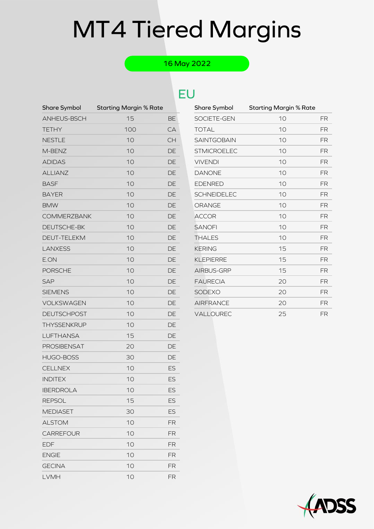### 16 May 2022

### EU

| Share Symbol       | <b>Starting Margin % Rate</b> |           | Share Symbol       | <b>Starting Margin % Rate</b> |    |
|--------------------|-------------------------------|-----------|--------------------|-------------------------------|----|
| ANHEUS-BSCH        | 15                            | <b>BE</b> | SOCIETE-GEN        | 10                            | FR |
| <b>TETHY</b>       | 100                           | CA        | <b>TOTAL</b>       | 10                            | FR |
| <b>NESTLE</b>      | 10                            | <b>CH</b> | SAINTGOBAIN        | 10                            | FR |
| M-BENZ             | 10                            | <b>DE</b> | <b>STMICROELEC</b> | 10                            | FR |
| <b>ADIDAS</b>      | 10                            | DE        | <b>VIVENDI</b>     | 10                            | FR |
| <b>ALLIANZ</b>     | 10                            | DE        | <b>DANONE</b>      | 10                            | FR |
| <b>BASF</b>        | 10                            | DE        | <b>EDENRED</b>     | 10                            | FR |
| <b>BAYER</b>       | 10                            | DE        | <b>SCHNEIDELEC</b> | 10                            | FR |
| <b>BMW</b>         | 10                            | DE        | <b>ORANGE</b>      | 10                            | FR |
| <b>COMMERZBANK</b> | 10                            | <b>DE</b> | <b>ACCOR</b>       | 10                            | FR |
| DEUTSCHE-BK        | 10                            | <b>DE</b> | <b>SANOFI</b>      | 10                            | FR |
| DEUT-TELEKM        | 10                            | <b>DE</b> | <b>THALES</b>      | 10                            | FR |
| <b>LANXESS</b>     | 10                            | DE        | <b>KERING</b>      | 15                            | FR |
| E.ON               | 10                            | DE        | <b>KLEPIERRE</b>   | 15                            | FR |
| <b>PORSCHE</b>     | 10                            | DE        | AIRBUS-GRP         | 15                            | FR |
| <b>SAP</b>         | 10                            | DE        | <b>FAURECIA</b>    | 20                            | FR |
| <b>SIEMENS</b>     | 10                            | <b>DE</b> | SODEXO             | 20                            | FR |
| VOLKSWAGEN         | 10                            | DE        | <b>AIRFRANCE</b>   | 20                            | FR |
| <b>DEUTSCHPOST</b> | 10                            | <b>DE</b> | VALLOUREC          | 25                            | FR |
| THYSSENKRUP        | 10                            | <b>DE</b> |                    |                               |    |
| <b>LUFTHANSA</b>   | 15                            | <b>DE</b> |                    |                               |    |
| PROSIBENSAT        | 20                            | DE        |                    |                               |    |
| <b>HUGO-BOSS</b>   | 30                            | DE        |                    |                               |    |
| <b>CELLNEX</b>     | 10                            | <b>ES</b> |                    |                               |    |
| <b>INDITEX</b>     | 10                            | <b>ES</b> |                    |                               |    |
| <b>IBERDROLA</b>   | 10                            | ES        |                    |                               |    |
| <b>REPSOL</b>      | 15                            | ES        |                    |                               |    |
| <b>MEDIASET</b>    | 30                            | <b>ES</b> |                    |                               |    |
| <b>ALSTOM</b>      | 10                            | <b>FR</b> |                    |                               |    |
| <b>CARREFOUR</b>   | 10                            | <b>FR</b> |                    |                               |    |
| <b>EDF</b>         | 10                            | <b>FR</b> |                    |                               |    |
| <b>ENGIE</b>       | 10                            | <b>FR</b> |                    |                               |    |
| <b>GECINA</b>      | 10                            | <b>FR</b> |                    |                               |    |
| LVMH               | 10                            | FR        |                    |                               |    |

| Share Symbol       | <b>Starting Margin % Rate</b> |           |
|--------------------|-------------------------------|-----------|
| SOCIETE-GEN        | 10                            | FR        |
| <b>TOTAL</b>       | 10                            | <b>FR</b> |
| <b>SAINTGOBAIN</b> | 10                            | <b>FR</b> |
| <b>STMICROELEC</b> | 10                            | <b>FR</b> |
| <b>VIVENDI</b>     | 10                            | <b>FR</b> |
| <b>DANONE</b>      | 10                            | <b>FR</b> |
| <b>EDENRED</b>     | 10                            | <b>FR</b> |
| <b>SCHNEIDELEC</b> | 10                            | <b>FR</b> |
| ORANGE             | 10                            | <b>FR</b> |
| <b>ACCOR</b>       | 10                            | <b>FR</b> |
| <b>SANOFI</b>      | 10                            | <b>FR</b> |
| <b>THALES</b>      | 10                            | FR        |
| <b>KERING</b>      | 15                            | <b>FR</b> |
| <b>KLEPIERRE</b>   | 15                            | FR        |
| AIRBUS-GRP         | 15                            | <b>FR</b> |
| <b>FAURECIA</b>    | 20                            | <b>FR</b> |
| <b>SODEXO</b>      | 20                            | <b>FR</b> |
| <b>AIRFRANCE</b>   | 20                            | FR        |
| <b>VALLOUREC</b>   | 25                            | FR        |

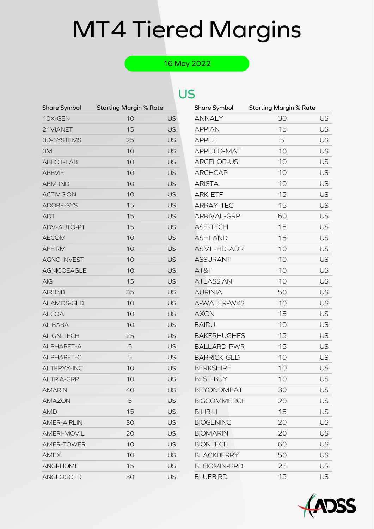### 16 May 2022

| Share Symbol       | <b>Starting Margin % Rate</b> |           | Share Symbol       | <b>Starting Margin % Rate</b> |    |
|--------------------|-------------------------------|-----------|--------------------|-------------------------------|----|
| 10X-GEN            | 10                            | <b>US</b> | <b>ANNALY</b>      | 30                            | US |
| 21VIANET           | 15                            | <b>US</b> | <b>APPIAN</b>      | 15                            | US |
| 3D-SYSTEMS         | 25                            | <b>US</b> | <b>APPLE</b>       | 5                             | US |
| ЗM                 | 10                            | <b>US</b> | APPLIED-MAT        | 10                            | US |
| ABBOT-LAB          | 10                            | <b>US</b> | ARCELOR-US         | 10                            | US |
| <b>ABBVIE</b>      | 10                            | <b>US</b> | <b>ARCHCAP</b>     | 10                            | US |
| <b>ABM-IND</b>     | 10                            | <b>US</b> | <b>ARISTA</b>      | 10                            | US |
| <b>ACTIVISION</b>  | 10                            | <b>US</b> | ARK-ETF            | 15                            | US |
| ADOBE-SYS          | 15                            | <b>US</b> | ARRAY-TEC          | 15                            | US |
| <b>ADT</b>         | 15                            | <b>US</b> | ARRIVAL-GRP        | 60                            | US |
| ADV-AUTO-PT        | 15                            | <b>US</b> | ASE-TECH           | 15                            | US |
| <b>AECOM</b>       | 10                            | <b>US</b> | <b>ASHLAND</b>     | 15                            | US |
| <b>AFFIRM</b>      | 10                            | <b>US</b> | ASML-HD-ADR        | 10                            | US |
| <b>AGNC-INVEST</b> | 10                            | <b>US</b> | <b>ASSURANT</b>    | 10                            | US |
| <b>AGNICOEAGLE</b> | 10                            | <b>US</b> | AT&T               | 10                            | US |
| <b>AIG</b>         | 15                            | <b>US</b> | <b>ATLASSIAN</b>   | 10                            | US |
| <b>AIRBNB</b>      | 35                            | <b>US</b> | <b>AURINIA</b>     | 50                            | US |
| ALAMOS-GLD         | 10                            | <b>US</b> | A-WATER-WKS        | 10                            | US |
| <b>ALCOA</b>       | 10                            | <b>US</b> | <b>AXON</b>        | 15                            | US |
| <b>ALIBABA</b>     | 10                            | <b>US</b> | <b>BAIDU</b>       | 10                            | US |
| ALIGN-TECH         | 25                            | <b>US</b> | <b>BAKERHUGHES</b> | 15                            | US |
| ALPHABET-A         | 5                             | <b>US</b> | <b>BALLARD-PWR</b> | 15                            | US |
| ALPHABET-C         | 5                             | <b>US</b> | <b>BARRICK-GLD</b> | 10                            | US |
| ALTERYX-INC        | 10                            | <b>US</b> | <b>BERKSHIRE</b>   | 10                            | US |
| <b>ALTRIA-GRP</b>  | 10                            | <b>US</b> | <b>BEST-BUY</b>    | 10                            | US |
| <b>AMARIN</b>      | 40                            | US        | <b>BEYONDMEAT</b>  | 30                            | US |
| <b>AMAZON</b>      | 5                             | <b>US</b> | <b>BIGCOMMERCE</b> | 20                            | US |
| <b>AMD</b>         | 15                            | US        | <b>BILIBILI</b>    | 15                            | US |
| <b>AMER-AIRLIN</b> | 30                            | <b>US</b> | <b>BIOGENINC</b>   | 20                            | US |
| <b>AMERI-MOVIL</b> | 20                            | US        | <b>BIOMARIN</b>    | 20                            | US |
| <b>AMER-TOWER</b>  | 10                            | <b>US</b> | <b>BIONTECH</b>    | 60                            | US |
| <b>AMEX</b>        | 10                            | US        | <b>BLACKBERRY</b>  | 50                            | US |
| ANGI-HOME          | 15                            | <b>US</b> | <b>BLOOMIN-BRD</b> | 25                            | US |
| ANGLOGOLD          | 30                            | US        | <b>BLUEBIRD</b>    | 15                            | US |

| Share Symbol       | <b>Starting Margin % Rate</b> |           |
|--------------------|-------------------------------|-----------|
| <b>ANNALY</b>      | 30                            | US        |
| <b>APPIAN</b>      | 15                            | US        |
| <b>APPLE</b>       | 5                             | US        |
| <b>APPLIED-MAT</b> | 10                            | US        |
| ARCELOR-US         | 10                            | US        |
| <b>ARCHCAP</b>     | 10                            | US        |
| <b>ARISTA</b>      | 10                            | US        |
| <b>ARK-ETF</b>     | 15                            | US        |
| <b>ARRAY-TEC</b>   | 15                            | US        |
| <b>ARRIVAL-GRP</b> | 60                            | US        |
| <b>ASE-TECH</b>    | 15                            | US        |
| <b>ASHLAND</b>     | 15                            | US        |
| ASML-HD-ADR        | 10                            | US        |
| <b>ASSURANT</b>    | 10                            | US        |
| AT&T               | 10                            | US        |
| <b>ATLASSIAN</b>   | 10                            | US        |
| <b>AURINIA</b>     | 50                            | US        |
| A-WATER-WKS        | 10                            | US        |
| <b>AXON</b>        | 15                            | US        |
| <b>BAIDU</b>       | 10                            | US        |
| <b>BAKERHUGHES</b> | 15                            | US        |
| <b>BALLARD-PWR</b> | 15                            | US        |
| <b>BARRICK-GLD</b> | 10                            | US        |
| <b>BERKSHIRE</b>   | 10                            | US        |
| <b>BEST-BUY</b>    | 10                            | US        |
| <b>BEYONDMEAT</b>  | 30                            | US        |
| <b>BIGCOMMERCE</b> | 20                            | US        |
| <b>BILIBILI</b>    | 15                            | US        |
| <b>BIOGENINC</b>   | 20                            | US        |
| <b>BIOMARIN</b>    | 20                            | US        |
| <b>BIONTECH</b>    | 60                            | US        |
| <b>BLACKBERRY</b>  | 50                            | US        |
| <b>BLOOMIN-BRD</b> | 25                            | US        |
| <b>BLUEBIRD</b>    | 15                            | <b>US</b> |

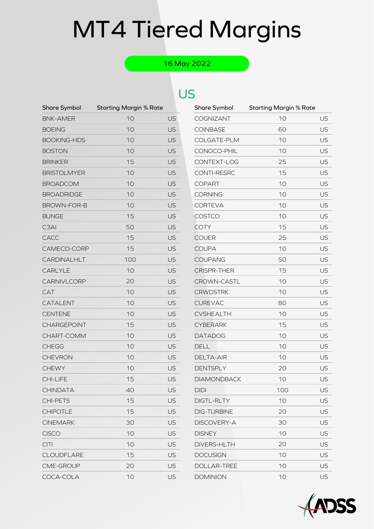### 16 May 2022

| <b>Share Symbol</b> | <b>Starting Margin % Rate</b> |                | Share Symbol       | <b>Starting Margin % Rate</b> |    |
|---------------------|-------------------------------|----------------|--------------------|-------------------------------|----|
| <b>BNK-AMER</b>     | 10                            | US <sup></sup> | COGNIZANT          | 10                            | US |
| <b>BOEING</b>       | 10                            | <b>US</b>      | <b>COINBASE</b>    | 60                            | US |
| <b>BOOKING-HDS</b>  | 10                            | <b>US</b>      | COLGATE-PLM        | 10                            | US |
| <b>BOSTON</b>       | 10                            | <b>US</b>      | CONOCO-PHIL        | 10                            | US |
| <b>BRINKER</b>      | 15                            | <b>US</b>      | CONTEXT-LOG        | 25                            | US |
| <b>BRISTOLMYER</b>  | 10                            | <b>US</b>      | CONTI-RESRC        | 15                            | US |
| <b>BROADCOM</b>     | 10                            | <b>US</b>      | <b>COPART</b>      | 10                            | US |
| <b>BROADRIDGE</b>   | 10                            | <b>US</b>      | <b>CORNING</b>     | 10                            | US |
| BROWN-FOR-B         | 10                            | <b>US</b>      | <b>CORTEVA</b>     | 10                            | US |
| <b>BUNGE</b>        | 15                            | <b>US</b>      | COSTCO             | 10                            | US |
| C <sub>3</sub> AI   | 50                            | <b>US</b>      | <b>COTY</b>        | 15                            | US |
| CACC                | 15                            | <b>US</b>      | <b>COUER</b>       | 25                            | US |
| CAMECO-CORP         | 15                            | <b>US</b>      | <b>COUPA</b>       | 10                            | US |
| CARDINALHLT         | 100                           | <b>US</b>      | <b>COUPANG</b>     | 50                            | US |
| <b>CARLYLE</b>      | 10                            | <b>US</b>      | <b>CRISPR-THER</b> | 15                            | US |
| CARNIVLCORP         | 20                            | <b>US</b>      | CROWN-CASTL        | 10                            | US |
| CAT                 | 10                            | <b>US</b>      | <b>CRWDSTRK</b>    | 10                            | US |
| CATALENT            | 10                            | <b>US</b>      | <b>CUREVAC</b>     | 80                            | US |
| <b>CENTENE</b>      | 10                            | <b>US</b>      | <b>CVSHEALTH</b>   | 10                            | US |
| CHARGEPOINT         | 15                            | <b>US</b>      | <b>CYBERARK</b>    | 15                            | US |
| CHART-COMM          | 10                            | <b>US</b>      | <b>DATADOG</b>     | 10                            | US |
| <b>CHEGG</b>        | 10                            | <b>US</b>      | <b>DELL</b>        | 10                            | US |
| <b>CHEVRON</b>      | 10                            | <b>US</b>      | <b>DELTA-AIR</b>   | 10                            | US |
| <b>CHEWY</b>        | 10                            | <b>US</b>      | <b>DENTSPLY</b>    | 20                            | US |
| <b>CHI-LIFE</b>     | 15                            | <b>US</b>      | <b>DIAMONDBACK</b> | 10                            | US |
| <b>CHINDATA</b>     | 40                            | US             | <b>DIDI</b>        | 100                           | US |
| <b>CHI-PETS</b>     | 15                            | <b>US</b>      | DIGTL-RLTY         | 10                            | US |
| <b>CHIPOTLE</b>     | 15                            | <b>US</b>      | <b>DIG-TURBINE</b> | 20                            | US |
| <b>CINEMARK</b>     | 30                            | <b>US</b>      | DISCOVERY-A        | 30                            | US |
| <b>CISCO</b>        | 10                            | US             | <b>DISNEY</b>      | 10                            | US |
| <b>CITI</b>         | 10                            | <b>US</b>      | DIVERS-HLTH        | 20                            | US |
| <b>CLOUDFLARE</b>   | 15                            | <b>US</b>      | <b>DOCUSIGN</b>    | 10                            | US |
| CME-GROUP           | 20                            | <b>US</b>      | DOLLAR-TREE        | 10                            | US |
| COCA-COLA           | 10                            | <b>US</b>      | <b>DOMINION</b>    | 10                            | US |

| Share Symbol       | <b>Starting Margin % Rate</b> |    |
|--------------------|-------------------------------|----|
| <b>COGNIZANT</b>   | 10                            | US |
| COINBASE           | 60                            | US |
| COLGATE-PLM        | 10                            | US |
| CONOCO-PHIL        | 10                            | US |
| CONTEXT-LOG        | 25                            | US |
| <b>CONTI-RESRC</b> | 15                            | US |
| <b>COPART</b>      | 10                            | US |
| <b>CORNING</b>     | 10                            | US |
| <b>CORTEVA</b>     | 10                            | US |
| COSTCO             | 10                            | US |
| COTY               | 15                            | US |
| <b>COUER</b>       | 25                            | US |
| <b>COUPA</b>       | 10                            | US |
| <b>COUPANG</b>     | 50                            | US |
| <b>CRISPR-THER</b> | 15                            | US |
| <b>CROWN-CASTL</b> | 10                            | US |
| <b>CRWDSTRK</b>    | 10                            | US |
| <b>CUREVAC</b>     | 80                            | US |
| CVSHEALTH          | 10                            | US |
| CYBERARK           | 15                            | US |
| <b>DATADOG</b>     | 10                            | US |
| <b>DELL</b>        | 10                            | US |
| <b>DELTA-AIR</b>   | 10                            | US |
| <b>DENTSPLY</b>    | 20                            | US |
| <b>DIAMONDBACK</b> | 10                            | US |
| <b>DIDI</b>        | 100                           | US |
| DIGTL-RLTY         | 10                            | US |
| <b>DIG-TURBINE</b> | 20                            | US |
| DISCOVERY-A        | 30                            | US |
| <b>DISNEY</b>      | 10                            | US |
| <b>DIVERS-HLTH</b> | 20                            | US |
| <b>DOCUSIGN</b>    | 10                            | US |
| DOLLAR-TREE        | 10                            | US |
| <b>DOMINION</b>    | 10                            | US |

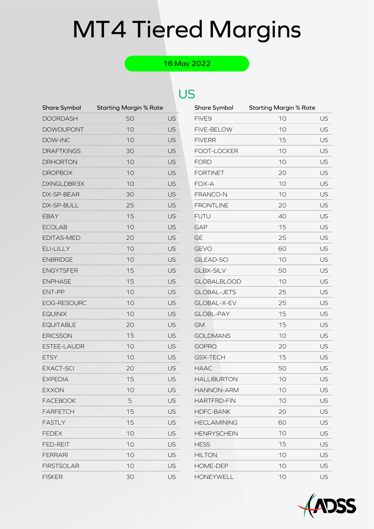### 16 May 2022

| Share Symbol       | <b>Starting Margin % Rate</b> |                | Share Symbol       | <b>Starting Margin % Rate</b> |    |
|--------------------|-------------------------------|----------------|--------------------|-------------------------------|----|
| <b>DOORDASH</b>    | 50                            | US <sup></sup> | FIVE9              | 10                            | US |
| <b>DOWDUPONT</b>   | 10                            | <b>US</b>      | FIVE-BELOW         | 10                            | US |
| DOW-INC            | 10                            | <b>US</b>      | <b>FIVERR</b>      | 15                            | US |
| <b>DRAFTKINGS</b>  | 30                            | <b>US</b>      | FOOT-LOCKER        | 10                            | US |
| <b>DRHORTON</b>    | 10                            | <b>US</b>      | <b>FORD</b>        | 10                            | US |
| <b>DROPBOX</b>     | 10                            | <b>US</b>      | <b>FORTINET</b>    | 20                            | US |
| DXNGLDBR3X         | 10                            | <b>US</b>      | FOX-A              | 10                            | US |
| DX-SP-BEAR         | 30                            | <b>US</b>      | FRANCO-N           | 10                            | US |
| DX-SP-BULL         | 25                            | <b>US</b>      | <b>FRONTLINE</b>   | 20                            | US |
| <b>EBAY</b>        | 15                            | <b>US</b>      | <b>FUTU</b>        | 40                            | US |
| <b>ECOLAB</b>      | 10                            | <b>US</b>      | <b>GAP</b>         | 15                            | US |
| EDITAS-MED         | 20                            | <b>US</b>      | <b>GE</b>          | 25                            | US |
| ELI-LILLY          | 10                            | <b>US</b>      | <b>GEVO</b>        | 60                            | US |
| <b>ENBRIDGE</b>    | 10                            | <b>US</b>      | <b>GILEAD-SCI</b>  | 10                            | US |
| <b>ENGYTSFER</b>   | 15                            | <b>US</b>      | <b>GLBX-SILV</b>   | 50                            | US |
| <b>ENPHASE</b>     | 15                            | <b>US</b>      | <b>GLOBALBLOOD</b> | 10                            | US |
| ENT-PP             | 10                            | <b>US</b>      | <b>GLOBAL-JETS</b> | 25                            | US |
| EOG-RESOURC        | 10                            | <b>US</b>      | GLOBAL-X-EV        | 25                            | US |
| <b>EQUINIX</b>     | 10                            | <b>US</b>      | <b>GLOBL-PAY</b>   | 15                            | US |
| <b>EQUITABLE</b>   | 20                            | <b>US</b>      | <b>GM</b>          | 15                            | US |
| <b>ERICSSON</b>    | 15                            | <b>US</b>      | <b>GOLDMANS</b>    | 10                            | US |
| <b>ESTEE-LAUDR</b> | 10                            | <b>US</b>      | <b>GOPRO</b>       | 20                            | US |
| <b>ETSY</b>        | 10                            | <b>US</b>      | <b>GSX-TECH</b>    | 15                            | US |
| <b>EXACT-SCI</b>   | 20                            | <b>US</b>      | <b>HAAC</b>        | 50                            | US |
| <b>EXPEDIA</b>     | 15                            | <b>US</b>      | <b>HALLIBURTON</b> | 10                            | US |
| <b>EXXON</b>       | 10                            | US             | HANNON-ARM         | 10                            | US |
| <b>FACEBOOK</b>    | 5                             | <b>US</b>      | <b>HARTFRD-FIN</b> | 10                            | US |
| <b>FARFETCH</b>    | 15                            | <b>US</b>      | <b>HDFC-BANK</b>   | 20                            | US |
| <b>FASTLY</b>      | 15                            | <b>US</b>      | <b>HECLAMINING</b> | 60                            | US |
| <b>FEDEX</b>       | 10                            | <b>US</b>      | <b>HENRYSCHEIN</b> | 10                            | US |
| <b>FED-REIT</b>    | 10                            | <b>US</b>      | <b>HESS</b>        | 15                            | US |
| <b>FERRARI</b>     | 10                            | <b>US</b>      | <b>HILTON</b>      | 10                            | US |
| <b>FIRSTSOLAR</b>  | 10                            | <b>US</b>      | HOME-DEP           | 10                            | US |
| <b>FISKER</b>      | 30                            | <b>US</b>      | <b>HONEYWELL</b>   | 10                            | US |

| Share Symbol       | <b>Starting Margin % Rate</b> |               |
|--------------------|-------------------------------|---------------|
| FIVE <sub>9</sub>  | 10                            | US            |
| FIVE-BELOW         | 10                            | US            |
| <b>FIVERR</b>      | 15                            | US            |
| FOOT-LOCKER        | 10                            | US            |
| <b>FORD</b>        | 10                            | US            |
| <b>FORTINET</b>    | 20                            | US            |
| FOX-A              | 10                            | US            |
| FRANCO-N           | 10                            | US            |
| <b>FRONTLINE</b>   | 20                            | US            |
| <b>FUTU</b>        | 40                            | US            |
| <b>GAP</b>         | 15                            | US            |
| <b>GE</b>          | 25                            | US            |
| <b>GEVO</b>        | 60                            | US            |
| <b>GILEAD-SCI</b>  | 10                            | US            |
| <b>GLBX-SILV</b>   | 50                            | US            |
| <b>GLOBALBLOOD</b> | 10                            | US            |
| <b>GLOBAL-JETS</b> | 25                            | US            |
| GLOBAL-X-EV        | 25                            | US            |
| <b>GLOBL-PAY</b>   | 15                            | US            |
| <b>GM</b>          | 15                            | US            |
| <b>GOLDMANS</b>    | 10                            | US            |
| GOPRO              | 20                            | US            |
| <b>GSX-TECH</b>    | 15                            | US            |
| <b>HAAC</b>        | 50                            | US            |
| <b>HALLIBURTON</b> | 10                            | US            |
| <b>HANNON-ARM</b>  | 10                            | US            |
| <b>HARTFRD-FIN</b> | 10                            | US            |
| <b>HDFC-BANK</b>   | 20                            | US            |
| <b>HECLAMINING</b> | 60                            | US            |
| <b>HENRYSCHEIN</b> | 10                            | US            |
| <b>HESS</b>        | 15                            | US            |
| <b>HILTON</b>      | 10                            | US            |
| <b>HOME-DEP</b>    | 10                            | US            |
| HONEYWELL          | 10                            | $  \,   \,  $ |

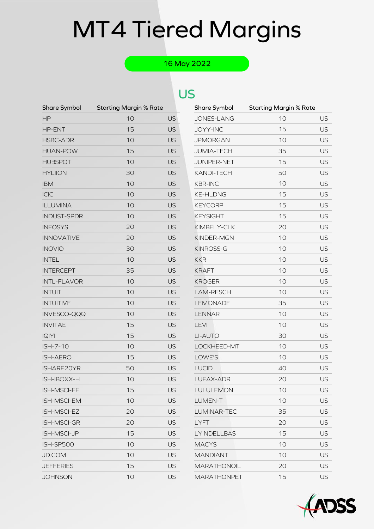### 16 May 2022

| Share Symbol       | <b>Starting Margin % Rate</b> |           | Share Symbol       | <b>Starting Margin % Rate</b> |    |
|--------------------|-------------------------------|-----------|--------------------|-------------------------------|----|
| HP                 | 10                            | <b>US</b> | JONES-LANG         | 10                            | US |
| HP-ENT             | 15                            | <b>US</b> | <b>JOYY-INC</b>    | 15                            | US |
| HSBC-ADR           | 10                            | <b>US</b> | <b>JPMORGAN</b>    | 10                            | US |
| <b>HUAN-POW</b>    | 15                            | <b>US</b> | <b>JUMIA-TECH</b>  | 35                            | US |
| <b>HUBSPOT</b>     | 10                            | <b>US</b> | JUNIPER-NET        | 15                            | US |
| <b>HYLIION</b>     | 30                            | <b>US</b> | KANDI-TECH         | 50                            | US |
| <b>IBM</b>         | 10                            | <b>US</b> | <b>KBR-INC</b>     | 10                            | US |
| <b>ICICI</b>       | 10                            | <b>US</b> | <b>KE-HLDNG</b>    | 15                            | US |
| <b>ILLUMINA</b>    | 10                            | <b>US</b> | <b>KEYCORP</b>     | 15                            | US |
| <b>INDUST-SPDR</b> | 10                            | <b>US</b> | <b>KEYSIGHT</b>    | 15                            | US |
| <b>INFOSYS</b>     | 20                            | <b>US</b> | KIMBELY-CLK        | 20                            | US |
| <b>INNOVATIVE</b>  | 20                            | <b>US</b> | KINDER-MGN         | 10                            | US |
| <b>INOVIO</b>      | 30                            | <b>US</b> | <b>KINROSS-G</b>   | 10                            | US |
| <b>INTEL</b>       | 10                            | <b>US</b> | <b>KKR</b>         | 10                            | US |
| <b>INTERCEPT</b>   | 35                            | <b>US</b> | <b>KRAFT</b>       | 10                            | US |
| <b>INTL-FLAVOR</b> | 10                            | <b>US</b> | <b>KROGER</b>      | 10                            | US |
| <b>INTUIT</b>      | 10                            | <b>US</b> | LAM-RESCH          | 10                            | US |
| <b>INTUITIVE</b>   | 10                            | <b>US</b> | LEMONADE           | 35                            | US |
| INVESCO-QQQ        | 10                            | <b>US</b> | <b>LENNAR</b>      | 10                            | US |
| <b>INVITAE</b>     | 15                            | <b>US</b> | LEVI               | 10                            | US |
| <b>IQIYI</b>       | 15                            | <b>US</b> | LI-AUTO            | 30                            | US |
| ISH-7-10           | 10                            | <b>US</b> | LOCKHEED-MT        | 10                            | US |
| <b>ISH-AERO</b>    | 15                            | <b>US</b> | LOWE'S             | 10                            | US |
| ISHARE20YR         | 50                            | <b>US</b> | <b>LUCID</b>       | 40                            | US |
| ISH-IBOXX-H        | 10                            | <b>US</b> | LUFAX-ADR          | 20                            | US |
| ISH-MSCI-EF        | 15                            | <b>US</b> | LULULEMON          | 10                            | US |
| ISH-MSCI-EM        | 10                            | <b>US</b> | LUMEN-T            | 10                            | US |
| ISH-MSCI-EZ        | 20                            | <b>US</b> | LUMINAR-TEC        | 35                            | US |
| <b>ISH-MSCI-GR</b> | 20                            | <b>US</b> | <b>LYFT</b>        | 20                            | US |
| ISH-MSCI-JP        | 15                            | <b>US</b> | <b>LYINDELLBAS</b> | 15                            | US |
| ISH-SP500          | 10                            | <b>US</b> | <b>MACYS</b>       | 10                            | US |
| <b>JD.COM</b>      | 10                            | <b>US</b> | <b>MANDIANT</b>    | 10                            | US |
| <b>JEFFERIES</b>   | 15                            | <b>US</b> | <b>MARATHONOIL</b> | 20                            | US |
| <b>JOHNSON</b>     | 10                            | <b>US</b> | <b>MARATHONPET</b> | 15                            | US |

| Share Symbol       | <b>Starting Margin % Rate</b> |           |
|--------------------|-------------------------------|-----------|
| <b>JONES-LANG</b>  | 10                            | US        |
| <b>JOYY-INC</b>    | 15                            | US        |
| <b>JPMORGAN</b>    | 10                            | US        |
| <b>JUMIA-TECH</b>  | 35                            | US        |
| <b>JUNIPER-NET</b> | 15                            | US        |
| <b>KANDI-TECH</b>  | 50                            | US        |
| <b>KBR-INC</b>     | 10                            | US        |
| <b>KE-HLDNG</b>    | 15                            | US        |
| <b>KEYCORP</b>     | 15                            | US        |
| <b>KEYSIGHT</b>    | 15                            | US        |
| KIMBELY-CLK        | 20                            | US        |
| <b>KINDER-MGN</b>  | 10                            | US        |
| <b>KINROSS-G</b>   | 10                            | US        |
| <b>KKR</b>         | 10                            | US        |
| <b>KRAFT</b>       | 10                            | US        |
| <b>KROGER</b>      | 10                            | <b>US</b> |
| <b>LAM-RESCH</b>   | 10                            | US        |
| LEMONADE           | 35                            | US        |
| <b>LENNAR</b>      | 10                            | US        |
| LEVI               | 10                            | US        |
| LI-AUTO            | 30                            | US        |
| LOCKHEED-MT        | 10                            | US        |
| LOWE'S             | 10                            | <b>US</b> |
| <b>LUCID</b>       | 40                            | US        |
| LUFAX-ADR          | 20                            | US        |
| <b>LULULEMON</b>   | 10                            | US        |
| LUMEN-T            | 10                            | US        |
| <b>LUMINAR-TEC</b> | 35                            | US        |
| <b>LYFT</b>        | 20                            | US        |
| LYINDELLBAS        | 15                            | US        |
| <b>MACYS</b>       | 10                            | US        |
| <b>MANDIANT</b>    | 10                            | US        |
| <b>MARATHONOIL</b> | 20                            | US        |
| <b>MARATHONPFT</b> | 15                            | US        |

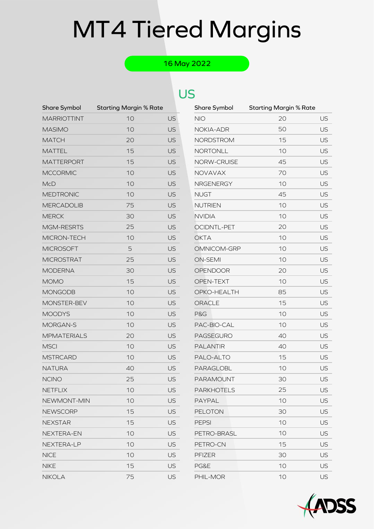### 16 May 2022

| <b>Share Symbol</b> | <b>Starting Margin % Rate</b> |           | Share Symbol      | <b>Starting Margin % Rate</b> |    |
|---------------------|-------------------------------|-----------|-------------------|-------------------------------|----|
| <b>MARRIOTTINT</b>  | 10                            | US        | <b>NIO</b>        | 20                            | US |
| <b>MASIMO</b>       | 10                            | <b>US</b> | NOKIA-ADR         | 50                            | US |
| <b>MATCH</b>        | 20                            | <b>US</b> | <b>NORDSTROM</b>  | 15                            | US |
| <b>MATTEL</b>       | 15                            | <b>US</b> | <b>NORTONLL</b>   | 10                            | US |
| <b>MATTERPORT</b>   | 15                            | <b>US</b> | NORW-CRUISE       | 45                            | US |
| <b>MCCORMIC</b>     | 10                            | <b>US</b> | NOVAVAX           | 70                            | US |
| <b>McD</b>          | 10                            | <b>US</b> | NRGENERGY         | 10                            | US |
| <b>MEDTRONIC</b>    | 10                            | <b>US</b> | <b>NUGT</b>       | 45                            | US |
| <b>MERCADOLIB</b>   | 75                            | <b>US</b> | <b>NUTRIEN</b>    | 10                            | US |
| <b>MERCK</b>        | 30                            | <b>US</b> | <b>NVIDIA</b>     | 10                            | US |
| MGM-RESRTS          | 25                            | <b>US</b> | OCIDNTL-PET       | 20                            | US |
| MICRON-TECH         | 10                            | <b>US</b> | <b>OKTA</b>       | 10                            | US |
| <b>MICROSOFT</b>    | 5                             | <b>US</b> | OMNICOM-GRP       | 10                            | US |
| <b>MICROSTRAT</b>   | 25                            | <b>US</b> | <b>ON-SEMI</b>    | 10                            | US |
| <b>MODERNA</b>      | 30                            | <b>US</b> | <b>OPENDOOR</b>   | 20                            | US |
| <b>MOMO</b>         | 15                            | <b>US</b> | OPEN-TEXT         | 10                            | US |
| <b>MONGODB</b>      | 10                            | <b>US</b> | OPKO-HEALTH       | 85                            | US |
| MONSTER-BEV         | 10                            | <b>US</b> | ORACLE            | 15                            | US |
| <b>MOODYS</b>       | 10                            | <b>US</b> | P&G               | 10                            | US |
| MORGAN-S            | 10                            | <b>US</b> | PAC-BIO-CAL       | 10                            | US |
| <b>MPMATERIALS</b>  | 20                            | <b>US</b> | PAGSEGURO         | 40                            | US |
| <b>MSCI</b>         | 10                            | <b>US</b> | <b>PALANTIR</b>   | 40                            | US |
| <b>MSTRCARD</b>     | 10                            | <b>US</b> | PALO-ALTO         | 15                            | US |
| <b>NATURA</b>       | 40                            | <b>US</b> | PARAGLOBL         | 10                            | US |
| <b>NCINO</b>        | 25                            | <b>US</b> | PARAMOUNT         | 30                            | US |
| NETFLIX             | 10                            | <b>US</b> | <b>PARKHOTELS</b> | 25                            | US |
| NEWMONT-MIN         | 10                            | <b>US</b> | PAYPAL            | 10                            | US |
| <b>NEWSCORP</b>     | 15                            | <b>US</b> | <b>PELOTON</b>    | 30                            | US |
| <b>NEXSTAR</b>      | 15                            | <b>US</b> | <b>PEPSI</b>      | 10                            | US |
| NEXTERA-EN          | 10                            | <b>US</b> | PETRO-BRASL       | 10                            | US |
| NEXTERA-LP          | 10                            | <b>US</b> | PETRO-CN          | 15                            | US |
| <b>NICE</b>         | 10                            | <b>US</b> | <b>PFIZER</b>     | 30                            | US |
| <b>NIKE</b>         | 15                            | <b>US</b> | PG&E              | 10                            | US |
| <b>NIKOLA</b>       | 75                            | <b>US</b> | PHIL-MOR          | 10                            | US |

| Share Symbol       | <b>Starting Margin % Rate</b> |           |
|--------------------|-------------------------------|-----------|
| <b>NIO</b>         | 20                            | US        |
| NOKIA-ADR          | 50                            | US        |
| NORDSTROM          | 15                            | US        |
| NORTONLL           | 10                            | US        |
| <b>NORW-CRUISE</b> | 45                            | US        |
| <b>NOVAVAX</b>     | 70                            | US        |
| <b>NRGENERGY</b>   | 10                            | <b>US</b> |
| NUGT               | 45                            | US        |
| <b>NUTRIEN</b>     | 10                            | US        |
| <b>NVIDIA</b>      | 10                            | US        |
| <b>OCIDNTL-PET</b> | 20                            | US        |
| <b>OKTA</b>        | 10                            | US        |
| OMNICOM-GRP        | 10                            | US        |
| <b>ON-SEMI</b>     | 10                            | US        |
| <b>OPENDOOR</b>    | 20                            | US        |
| <b>OPEN-TEXT</b>   | 10                            | <b>US</b> |
| OPKO-HEALTH        | 85                            | US        |
| ORACLE             | 15                            | US        |
| <b>P&amp;G</b>     | 10                            | US        |
| PAC-BIO-CAL        | 10                            | US        |
| <b>PAGSEGURO</b>   | 40                            | US        |
| <b>PALANTIR</b>    | 40                            | US        |
| PALO-ALTO          | 15                            | <b>US</b> |
| PARAGLOBL          | 10                            | US        |
| <b>PARAMOUNT</b>   | 30                            | US        |
| <b>PARKHOTELS</b>  | 25                            | US        |
| <b>PAYPAL</b>      | 10                            | US        |
| <b>PELOTON</b>     | 30                            | US        |
| <b>PEPSI</b>       | 10                            | US        |
| PETRO-BRASL        | 10                            | US        |
| PETRO-CN           | 15                            | US        |
| <b>PFIZER</b>      | 30                            | <b>US</b> |
| PG&E               | 10                            | US        |
| PHII-MOR           | 10                            | US        |

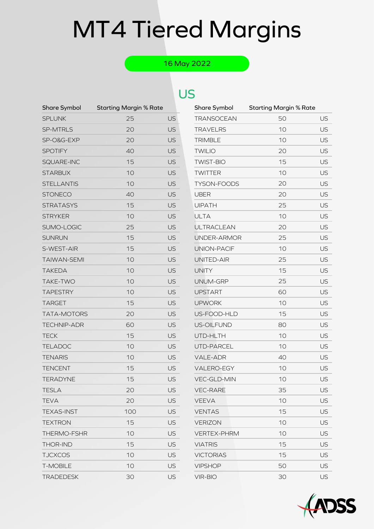### 16 May 2022

| <b>Share Symbol</b> | <b>Starting Margin % Rate</b> |           | Share Symbol       | <b>Starting Margin % Rate</b> |    |
|---------------------|-------------------------------|-----------|--------------------|-------------------------------|----|
| <b>SPLUNK</b>       | 25                            | US        | <b>TRANSOCEAN</b>  | 50                            | US |
| SP-MTRLS            | 20                            | <b>US</b> | <b>TRAVELRS</b>    | 10                            | US |
| SP-O&G-EXP          | 20                            | <b>US</b> | <b>TRIMBLE</b>     | 10                            | US |
| <b>SPOTIFY</b>      | 40                            | <b>US</b> | <b>TWILIO</b>      | 20                            | US |
| SQUARE-INC          | 15                            | <b>US</b> | <b>TWIST-BIO</b>   | 15                            | US |
| <b>STARBUX</b>      | 10                            | <b>US</b> | <b>TWITTER</b>     | 10                            | US |
| <b>STELLANTIS</b>   | 10                            | <b>US</b> | TYSON-FOODS        | 20                            | US |
| <b>STONECO</b>      | 40                            | <b>US</b> | <b>UBER</b>        | 20                            | US |
| <b>STRATASYS</b>    | 15                            | <b>US</b> | <b>UIPATH</b>      | 25                            | US |
| <b>STRYKER</b>      | 10                            | <b>US</b> | <b>ULTA</b>        | 10                            | US |
| SUMO-LOGIC          | 25                            | <b>US</b> | <b>ULTRACLEAN</b>  | 20                            | US |
| <b>SUNRUN</b>       | 15                            | <b>US</b> | UNDER-ARMOR        | 25                            | US |
| S-WEST-AIR          | 15                            | <b>US</b> | UNION-PACIF        | 10                            | US |
| <b>TAIWAN-SEMI</b>  | 10                            | <b>US</b> | UNITED-AIR         | 25                            | US |
| <b>TAKEDA</b>       | 10                            | <b>US</b> | <b>UNITY</b>       | 15                            | US |
| TAKE-TWO            | 10                            | <b>US</b> | UNUM-GRP           | 25                            | US |
| <b>TAPESTRY</b>     | 10                            | <b>US</b> | <b>UPSTART</b>     | 60                            | US |
| <b>TARGET</b>       | 15                            | <b>US</b> | <b>UPWORK</b>      | 10                            | US |
| TATA-MOTORS         | 20                            | <b>US</b> | US-FOOD-HLD        | 15                            | US |
| <b>TECHNIP-ADR</b>  | 60                            | <b>US</b> | US-OILFUND         | 80                            | US |
| <b>TECK</b>         | 15                            | <b>US</b> | UTD-HLTH           | 10                            | US |
| <b>TELADOC</b>      | 10                            | <b>US</b> | UTD-PARCEL         | 10                            | US |
| <b>TENARIS</b>      | 10                            | <b>US</b> | VALE-ADR           | 40                            | US |
| <b>TENCENT</b>      | 15                            | <b>US</b> | VALERO-EGY         | 10                            | US |
| <b>TERADYNE</b>     | 15                            | <b>US</b> | VEC-GLD-MIN        | 10                            | US |
| <b>TESLA</b>        | 20                            | <b>US</b> | <b>VEC-RARE</b>    | 35                            | US |
| <b>TEVA</b>         | 20                            | <b>US</b> | <b>VEEVA</b>       | 10                            | US |
| <b>TEXAS-INST</b>   | 100                           | <b>US</b> | <b>VENTAS</b>      | 15                            | US |
| <b>TEXTRON</b>      | 15                            | <b>US</b> | <b>VERIZON</b>     | 10                            | US |
| THERMO-FSHR         | 10                            | <b>US</b> | <b>VERTEX-PHRM</b> | 10                            | US |
| <b>THOR-IND</b>     | 15                            | US        | <b>VIATRIS</b>     | 15                            | US |
| <b>TJCXCOS</b>      | 10                            | <b>US</b> | <b>VICTORIAS</b>   | 15                            | US |
| <b>T-MOBILE</b>     | 10                            | <b>US</b> | <b>VIPSHOP</b>     | 50                            | US |
| <b>TRADEDESK</b>    | 30                            | <b>US</b> | <b>VIR-BIO</b>     | 30                            | US |

| Share Symbol       | Starting Margin % Rate |           |
|--------------------|------------------------|-----------|
| <b>TRANSOCEAN</b>  | 50                     | US        |
| <b>TRAVELRS</b>    | 10                     | US        |
| <b>TRIMBLE</b>     | 10                     | US        |
| <b>TWILIO</b>      | 20                     | US        |
| <b>TWIST-BIO</b>   | 15                     | US        |
| <b>TWITTER</b>     | 10                     | US        |
| TYSON-FOODS        | 20                     | <b>US</b> |
| UBER               | 20                     | US        |
| <b>UIPATH</b>      | 25                     | US        |
| <b>ULTA</b>        | 10                     | US        |
| <b>ULTRACLEAN</b>  | 20                     | US        |
| UNDER-ARMOR        | 25                     | US        |
| UNION-PACIF        | 10                     | US        |
| UNITED-AIR         | 25                     | US        |
| <b>UNITY</b>       | 15                     | US        |
| UNUM-GRP           | 25                     | <b>US</b> |
| <b>UPSTART</b>     | 60                     | US        |
| <b>UPWORK</b>      | 10                     | US        |
| US-FOOD-HLD        | 15                     | US        |
| <b>US-OILFUND</b>  | 80                     | US        |
| UTD-HLTH           | 10                     | US        |
| UTD-PARCEL         | 10                     | US        |
| <b>VALE-ADR</b>    | 40                     | US        |
| <b>VALERO-EGY</b>  | 10                     | US        |
| <b>VEC-GLD-MIN</b> | 10                     | US        |
| <b>VEC-RARE</b>    | 35                     | US        |
| <b>VEEVA</b>       | 10                     | US        |
| <b>VENTAS</b>      | 15                     | US        |
| <b>VERIZON</b>     | 10                     | US        |
| <b>VERTEX-PHRM</b> | 10                     | US        |
| <b>VIATRIS</b>     | 15                     | US        |
| <b>VICTORIAS</b>   | 15                     | US        |
| <b>VIPSHOP</b>     | 50                     | US        |
| VIR-BIO            | 30                     | <b>US</b> |